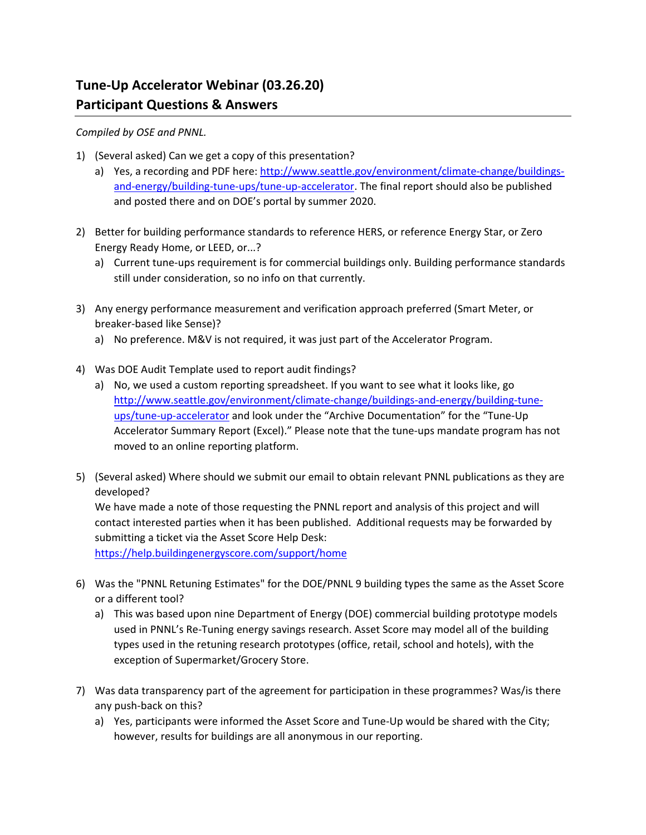## **Tune‐Up Accelerator Webinar (03.26.20) Participant Questions & Answers**

## *Compiled by OSE and PNNL.*

- 1) (Several asked) Can we get a copy of this presentation?
	- a) Yes, a recording and PDF here: http://www.seattle.gov/environment/climate-change/buildingsand‐energy/building‐tune‐ups/tune‐up‐accelerator. The final report should also be published and posted there and on DOE's portal by summer 2020.
- 2) Better for building performance standards to reference HERS, or reference Energy Star, or Zero Energy Ready Home, or LEED, or...?
	- a) Current tune‐ups requirement is for commercial buildings only. Building performance standards still under consideration, so no info on that currently.
- 3) Any energy performance measurement and verification approach preferred (Smart Meter, or breaker‐based like Sense)?
	- a) No preference. M&V is not required, it was just part of the Accelerator Program.
- 4) Was DOE Audit Template used to report audit findings?
	- a) No, we used a custom reporting spreadsheet. If you want to see what it looks like, go http://www.seattle.gov/environment/climate-change/buildings-and-energy/building-tuneups/tune‐up‐accelerator and look under the "Archive Documentation" for the "Tune‐Up Accelerator Summary Report (Excel)." Please note that the tune‐ups mandate program has not moved to an online reporting platform.
- 5) (Several asked) Where should we submit our email to obtain relevant PNNL publications as they are developed?

We have made a note of those requesting the PNNL report and analysis of this project and will contact interested parties when it has been published. Additional requests may be forwarded by submitting a ticket via the Asset Score Help Desk:

https://help.buildingenergyscore.com/support/home

- 6) Was the "PNNL Retuning Estimates" for the DOE/PNNL 9 building types the same as the Asset Score or a different tool?
	- a) This was based upon nine Department of Energy (DOE) commercial building prototype models used in PNNL's Re‐Tuning energy savings research. Asset Score may model all of the building types used in the retuning research prototypes (office, retail, school and hotels), with the exception of Supermarket/Grocery Store.
- 7) Was data transparency part of the agreement for participation in these programmes? Was/is there any push‐back on this?
	- a) Yes, participants were informed the Asset Score and Tune-Up would be shared with the City; however, results for buildings are all anonymous in our reporting.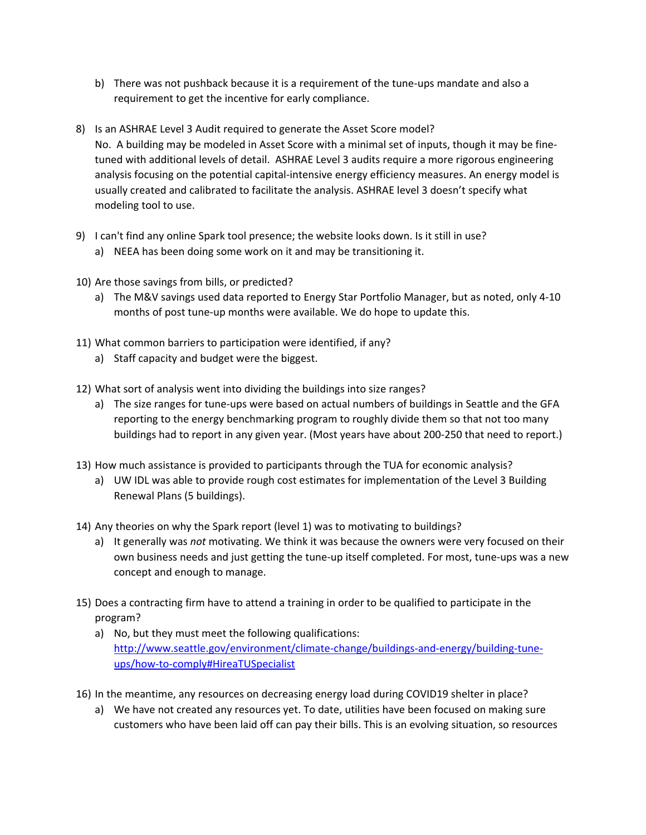- b) There was not pushback because it is a requirement of the tune-ups mandate and also a requirement to get the incentive for early compliance.
- 8) Is an ASHRAE Level 3 Audit required to generate the Asset Score model? No. A building may be modeled in Asset Score with a minimal set of inputs, though it may be fine‐ tuned with additional levels of detail. ASHRAE Level 3 audits require a more rigorous engineering analysis focusing on the potential capital‐intensive energy efficiency measures. An energy model is usually created and calibrated to facilitate the analysis. ASHRAE level 3 doesn't specify what modeling tool to use.
- 9) I can't find any online Spark tool presence; the website looks down. Is it still in use?
	- a) NEEA has been doing some work on it and may be transitioning it.
- 10) Are those savings from bills, or predicted?
	- a) The M&V savings used data reported to Energy Star Portfolio Manager, but as noted, only 4‐10 months of post tune‐up months were available. We do hope to update this.
- 11) What common barriers to participation were identified, if any?
	- a) Staff capacity and budget were the biggest.
- 12) What sort of analysis went into dividing the buildings into size ranges?
	- a) The size ranges for tune-ups were based on actual numbers of buildings in Seattle and the GFA reporting to the energy benchmarking program to roughly divide them so that not too many buildings had to report in any given year. (Most years have about 200‐250 that need to report.)
- 13) How much assistance is provided to participants through the TUA for economic analysis?
	- a) UW IDL was able to provide rough cost estimates for implementation of the Level 3 Building Renewal Plans (5 buildings).
- 14) Any theories on why the Spark report (level 1) was to motivating to buildings?
	- a) It generally was *not* motivating. We think it was because the owners were very focused on their own business needs and just getting the tune-up itself completed. For most, tune-ups was a new concept and enough to manage.
- 15) Does a contracting firm have to attend a training in order to be qualified to participate in the program?
	- a) No, but they must meet the following qualifications: http://www.seattle.gov/environment/climate-change/buildings-and-energy/building-tuneups/how‐to‐comply#HireaTUSpecialist
- 16) In the meantime, any resources on decreasing energy load during COVID19 shelter in place?
	- a) We have not created any resources yet. To date, utilities have been focused on making sure customers who have been laid off can pay their bills. This is an evolving situation, so resources